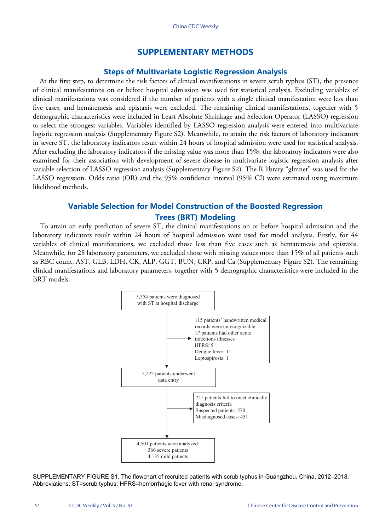## **SUPPLEMENTARY METHODS**

### **Steps of Multivariate Logistic Regression Analysis**

At the first step, to determine the risk factors of clinical manifestations in severe scrub typhus (ST), the presence of clinical manifestations on or before hospital admission was used for statistical analysis. Excluding variables of clinical manifestations was considered if the number of patients with a single clinical manifestation were less than five cases, and hematemesis and epistaxis were excluded. The remaining clinical manifestations, together with 5 demographic characteristics were included in Least Absolute Shrinkage and Selection Operator (LASSO) regression to select the strongest variables. Variables identified by LASSO regression analysis were entered into multivariate logistic regression analysis ([Supplementary Figure S2\)](Figure S2). Meanwhile, to attain the risk factors of laboratory indicators in severe ST, the laboratory indicators result within 24 hours of hospital admission were used for statistical analysis. After excluding the laboratory indicators if the missing value was more than 15%, the laboratory indicators were also examined for their association with development of severe disease in multivariate logistic regression analysis after variable selection of LASSO regression analysis [\(Supplementary Figure S2](Figure S2)). The R library "glmnet" was used for the LASSO regression. Odds ratio (OR) and the 95% confidence interval (95% CI) were estimated using maximum likelihood methods.

# **Variable Selection for Model Construction of the Boosted Regression Trees (BRT) Modeling**

To attain an early prediction of severe ST, the clinical manifestations on or before hospital admission and the laboratory indicators result within 24 hours of hospital admission were used for model analysis. Firstly, for 44 variables of clinical manifestations, we excluded those less than five cases such as hematemesis and epistaxis. Meanwhile, for 28 laboratory parameters, we excluded those with missing values more than 15% of all patients such as RBC count, AST, GLB, LDH, CK, ALP, GGT, BUN, CRP, and Ca [\(Supplementary Figure S2](Figure S2)). The remaining clinical manifestations and laboratory parameters, together with 5 demographic characteristics were included in the BRT models.



SUPPLEMENTARY FIGURE S1. The flowchart of recruited patients with scrub typhus in Guangzhou, China, 2012–2018. Abbreviations: ST=scrub typhus; HFRS=hemorrhagic fever with renal syndrome.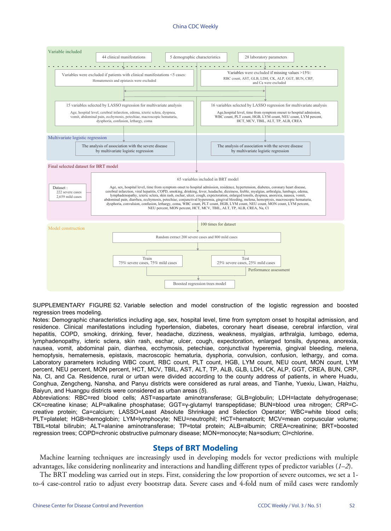### China CDC Weekly



SUPPLEMENTARY FIGURE S2. Variable selection and model construction of the logistic regression and boosted regression trees modeling.

Notes: Demographic characteristics including age, sex, hospital level, time from symptom onset to hospital admission, and residence. Clinical manifestations including hypertension, diabetes, coronary heart disease, cerebral infarction, viral hepatitis, COPD, smoking, drinking, fever, headache, dizziness, weakness, myalgias, arthralgia, lumbago, edema, lymphadenopathy, icteric sclera, skin rash, eschar, ulcer, cough, expectoration, enlarged tonsils, dyspnea, anorexia, nausea, vomit, abdominal pain, diarrhea, ecchymosis, petechiae, conjunctival hyperemia, gingival bleeding, melena, hemoptysis, hematemesis, epistaxis, macroscopic hematuria, dysphoria, convulsion, confusion, lethargy, and coma. Laboratory parameters including WBC count, RBC count, PLT count, HGB, LYM count, NEU count, MON count, LYM percent, NEU percent, MON percent, HCT, MCV, TBIL, AST, ALT, TP, ALB, GLB, LDH, CK, ALP, GGT, CREA, BUN, CRP, Na, CI, and Ca. Residence, rural or urban were divided according to the county address of patients, in where Huadu, Conghua, Zengcheng, Nansha, and Panyu districts were considered as rural areas, and Tianhe, Yuexiu, Liwan, Haizhu, Baiyun, and Huangpu districts were considered as urban areas (*[5](#page--1-2)*).

Abbreviations: RBC=red blood cells; AST=aspartate aminotransferase; GLB=globulin; LDH=lactate dehydrogenase; CK=creatine kinase; ALP=alkaline phosphatase; GGT=γ-glutamyl transpeptidase; BUN=blood urea nitrogen; CRP=Ccreative protein; Ca=calcium; LASSO=Least Absolute Shrinkage and Selection Operator; WBC=white blood cells; PLT=platelet; HGB=hemoglobin; LYM=lymphocyte; NEU=neutrophil; HCT=hematocrit; MCV=mean corpuscular volume; TBIL=total bilirubin; ALT=alanine aminotransferase; TP=total protein; ALB=albumin; CREA=creatinine; BRT=boosted regression trees; COPD=chronic obstructive pulmonary disease; MON=monocyte; Na=sodium; Cl=chlorine.

## **Steps of BRT Modeling**

Machine learning techniques are increasingly used in developing models for vector predictions with multiple advantages, like considering nonlinearity and interactions and handling different types of predictor variables (*[1](#page--1-0)*–*[2](#page--1-1)*).

The BRT modeling was carried out in steps. First, considering the low proportion of severe outcomes, we set a 1 to-4 case-control ratio to adjust every bootstrap data. Severe cases and 4-fold num of mild cases were randomly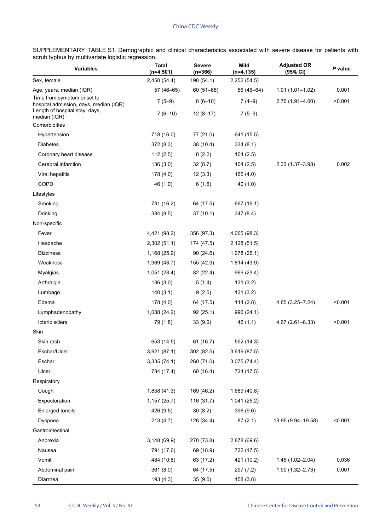SUPPLEMENTARY TABLE S1. Demographic and clinical characteristics associated with severe disease for patients with scrub typhus by multivariate logistic regression.  $\overline{a}$ 

| <b>Variables</b>                                                     | <b>Total</b><br>$(n=4,501)$ | <b>Severe</b><br>$(n=366)$ | Mild<br>$(n=4, 135)$ | <b>Adjusted OR</b><br>(95% CI) | P value |
|----------------------------------------------------------------------|-----------------------------|----------------------------|----------------------|--------------------------------|---------|
| Sex, female                                                          | 2,450 (54.4)                | 198 (54.1)                 | 2,252 (54.5)         |                                |         |
| Age, years, median (IQR)                                             | 57 (46-65)                  | $60(51 - 68)$              | 56 (46-64)           | $1.01(1.01 - 1.02)$            | 0.001   |
| Time from symptom onset to<br>hospital admission, days, median (IQR) | $7(5-9)$                    | $8(6-10)$                  | $7(4-9)$             | 2.76 (1.91-4.00)               | < 0.001 |
| Length of hospital stay, days,<br>median (IQR)                       | $7(6-10)$                   | $12(8-17)$                 | $7(5-9)$             |                                |         |
| Comorbidities                                                        |                             |                            |                      |                                |         |
| Hypertension                                                         | 718 (16.0)                  | 77 (21.0)                  | 641 (15.5)           |                                |         |
| <b>Diabetes</b>                                                      | 372(8.3)                    | 38 (10.4)                  | 334(8.1)             |                                |         |
| Coronary heart disease                                               | 112(2.5)                    | 8(2.2)                     | 104(2.5)             |                                |         |
| Cerebral infarction                                                  | 136 (3.0)                   | 32(8.7)                    | 104(2.5)             | $2.33(1.37 - 3.98)$            | 0.002   |
| Viral hepatitis                                                      | 178 (4.0)                   | 12(3.3)                    | 166 (4.0)            |                                |         |
| COPD                                                                 | 46 (1.0)                    | 6(1.6)                     | 40(1.0)              |                                |         |
| Lifestyles                                                           |                             |                            |                      |                                |         |
| Smoking                                                              | 731 (16.2)                  | 64 (17.5)                  | 667 (16.1)           |                                |         |
| Drinking                                                             | 384 (8.5)                   | 37(10.1)                   | 347 (8.4)            |                                |         |
| Non-specific                                                         |                             |                            |                      |                                |         |
| Fever                                                                | 4,421 (98.2)                | 356 (97.3)                 | 4,065 (98.3)         |                                |         |
| Headache                                                             | 2,302 (51.1)                | 174 (47.5)                 | 2,128 (51.5)         |                                |         |
| <b>Dizziness</b>                                                     | 1,168 (25.9)                | 90(24.6)                   | 1,078(26.1)          |                                |         |
| Weakness                                                             | 1,969 (43.7)                | 155 (42.3)                 | 1,814 (43.9)         |                                |         |
| Myalgias                                                             | 1,051 (23.4)                | 82 (22.4)                  | 969 (23.4)           |                                |         |
| Arthralgia                                                           | 136 (3.0)                   | 5(1.4)                     | 131(3.2)             |                                |         |
| Lumbago                                                              | 140(3.1)                    | 9(2.5)                     | 131 (3.2)            |                                |         |
| Edema                                                                | 178 (4.0)                   | 64 (17.5)                  | 114(2.8)             | 4.85 (3.25-7.24)               | < 0.001 |
| Lymphadenopathy                                                      | 1,088 (24.2)                | 92(25.1)                   | 996 (24.1)           |                                |         |
| Icteric sclera                                                       | 79 (1.8)                    | 33(9.0)                    | 46(1.1)              | $4.67(2.61 - 8.33)$            | < 0.001 |
| Skin                                                                 |                             |                            |                      |                                |         |
| Skin rash                                                            | 653 (14.5)                  | 61 (16.7)                  | 592 (14.3)           |                                |         |
| Eschar/Ulcer                                                         | 3,921 (87.1)                | 302 (82.5)                 | 3,619 (87.5)         |                                |         |
| Eschar                                                               | 3,335(74.1)                 | 260 (71.0)                 | 3,075 (74.4)         |                                |         |
| Ulcer                                                                | 784 (17.4)                  | 60 (16.4)                  | 724 (17.5)           |                                |         |
| Respiratory                                                          |                             |                            |                      |                                |         |
| Cough                                                                | 1,858 (41.3)                | 169 (46.2)                 | 1,689 (40.8)         |                                |         |
| Expectoration                                                        | 1,157 (25.7)                | 116 (31.7)                 | 1,041 (25.2)         |                                |         |
| Enlarged tonsils                                                     | 426 (9.5)                   | 30(8.2)                    | 396 (9.6)            |                                |         |
| Dyspnea                                                              | 213 (4.7)                   | 126 (34.4)                 | 87(2.1)              | 13.95 (9.94-19.58)             | < 0.001 |
| Gastrointestinal                                                     |                             |                            |                      |                                |         |
| Anorexia                                                             | 3,148(69.9)                 | 270 (73.8)                 | 2,878 (69.6)         |                                |         |
| Nausea                                                               | 791 (17.6)                  | 69 (18.9)                  | 722 (17.5)           |                                |         |
| Vomit                                                                | 484 (10.8)                  | 63 (17.2)                  | 421 (10.2)           | 1.45 (1.02-2.04)               | 0.036   |
| Abdominal pain                                                       | 361(8.0)                    | 64 (17.5)                  | 297 (7.2)            | 1.90 (1.32-2.73)               | 0.001   |
| Diarrhea                                                             | 193 (4.3)                   | 35 (9.6)                   | 158 (3.8)            |                                |         |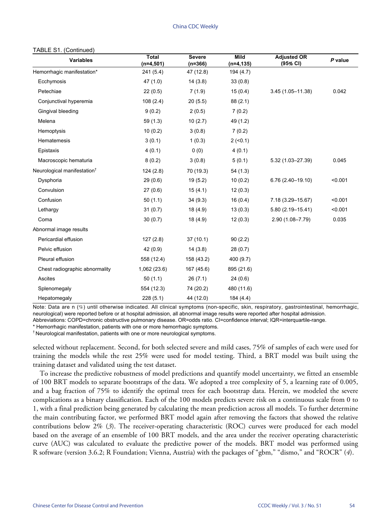#### China CDC Weekly

#### TABLE S1. (Continued)

| <b>Variables</b>                        | <b>Total</b><br>$(n=4,501)$ | <b>Severe</b><br>$(n=366)$ | <b>Mild</b><br>$(n=4, 135)$ | <b>Adjusted OR</b><br>(95% CI) | P value |
|-----------------------------------------|-----------------------------|----------------------------|-----------------------------|--------------------------------|---------|
| Hemorrhagic manifestation*              | 241 (5.4)                   | 47 (12.8)                  | 194 (4.7)                   |                                |         |
| Ecchymosis                              | 47(1.0)                     | 14(3.8)                    | 33(0.8)                     |                                |         |
| Petechiae                               | 22(0.5)                     | 7(1.9)                     | 15(0.4)                     | $3.45(1.05 - 11.38)$           | 0.042   |
| Conjunctival hyperemia                  | 108(2.4)                    | 20(5.5)                    | 88(2.1)                     |                                |         |
| Gingival bleeding                       | 9(0.2)                      | 2(0.5)                     | 7(0.2)                      |                                |         |
| Melena                                  | 59(1.3)                     | 10(2.7)                    | 49 (1.2)                    |                                |         |
| Hemoptysis                              | 10(0.2)                     | 3(0.8)                     | 7(0.2)                      |                                |         |
| Hematemesis                             | 3(0.1)                      | 1(0.3)                     | 2( <sub>0.1</sub> )         |                                |         |
| Epistaxis                               | 4(0.1)                      | 0(0)                       | 4(0.1)                      |                                |         |
| Macroscopic hematuria                   | 8(0.2)                      | 3(0.8)                     | 5(0.1)                      | $5.32(1.03 - 27.39)$           | 0.045   |
| Neurological manifestation <sup>†</sup> | 124(2.8)                    | 70 (19.3)                  | 54(1.3)                     |                                |         |
| Dysphoria                               | 29(0.6)                     | 19(5.2)                    | 10(0.2)                     | $6.76(2.40-19.10)$             | < 0.001 |
| Convulsion                              | 27(0.6)                     | 15(4.1)                    | 12(0.3)                     |                                |         |
| Confusion                               | 50(1.1)                     | 34(9.3)                    | 16(0.4)                     | 7.18 (3.29-15.67)              | < 0.001 |
| Lethargy                                | 31(0.7)                     | 18(4.9)                    | 13(0.3)                     | $5.80(2.19 - 15.41)$           | < 0.001 |
| Coma                                    | 30(0.7)                     | 18 (4.9)                   | 12(0.3)                     | 2.90 (1.08-7.79)               | 0.035   |
| Abnormal image results                  |                             |                            |                             |                                |         |
| Pericardial effusion                    | 127(2.8)                    | 37(10.1)                   | 90(2.2)                     |                                |         |
| Pelvic effusion                         | 42(0.9)                     | 14(3.8)                    | 28(0.7)                     |                                |         |
| Pleural effusion                        | 558 (12.4)                  | 158 (43.2)                 | 400 (9.7)                   |                                |         |
| Chest radiographic abnormality          | 1,062(23.6)                 | 167 (45.6)                 | 895 (21.6)                  |                                |         |
| Ascites                                 | 50(1.1)                     | 26(7.1)                    | 24(0.6)                     |                                |         |
| Splenomegaly                            | 554 (12.3)                  | 74 (20.2)                  | 480 (11.6)                  |                                |         |
| Hepatomegaly                            | 228(5.1)                    | 44 (12.0)                  | 184 (4.4)                   |                                |         |

Note: Data are n (%) until otherwise indicated. All clinical symptoms (non-specific, skin, respiratory, gastrointestinal, hemorrhagic, neurological) were reported before or at hospital admission, all abnormal image results were reported after hospital admission.

Abbreviations: COPD=chronic obstructive pulmonary disease. OR=odds ratio. CI=confidence interval; IQR=interquartile-range.

\* Hemorrhagic manifestation, patients with one or more hemorrhagic symptoms.

† Neurological manifestation, patients with one or more neurological symptoms.

selected without replacement. Second, for both selected severe and mild cases, 75% of samples of each were used for training the models while the rest 25% were used for model testing. Third, a BRT model was built using the training dataset and validated using the test dataset.

To increase the predictive robustness of model predictions and quantify model uncertainty, we fitted an ensemble of 100 BRT models to separate bootstraps of the data. We adopted a tree complexity of 5, a learning rate of 0.005, and a bag fraction of 75% to identify the optimal trees for each bootstrap data. Herein, we modeled the severe complications as a binary classification. Each of the 100 models predicts severe risk on a continuous scale from 0 to 1, with a final prediction being generated by calculating the mean prediction across all models. To further determine the main contributing factor, we performed BRT model again after removing the factors that showed the relative contributions below 2% [\(](#page--1-3)3). The receiver-operating characteristic (ROC) curves were produced for each model based on the average of an ensemble of 100 BRT models, and the area under the receiver operating characteristic curve (AUC) was calculated to evaluate the predictive power of the models. BRT model was performed using R software (version 3.6.2; R Foundation; Vienna, Austria) with the packages of "gbm," "dismo," and "ROCR" (*[4](#page--1-4)*).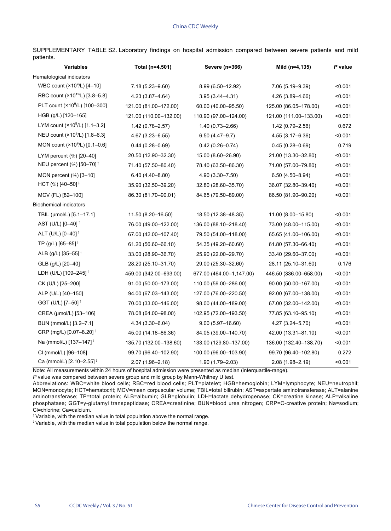SUPPLEMENTARY TABLE S2. Laboratory findings on hospital admission compared between severe patients and mild patients.

| <b>Variables</b>                                            | Total (n=4,501)        | Severe (n=366)           | Mild (n=4,135)         | P value |
|-------------------------------------------------------------|------------------------|--------------------------|------------------------|---------|
| Hematological indicators                                    |                        |                          |                        |         |
| WBC count (×10 <sup>9</sup> /L) [4-10]                      | $7.18(5.23 - 9.60)$    | 8.99 (6.50-12.92)        | 7.06 (5.19 - 9.39)     | < 0.001 |
| RBC count (×10 <sup>12/</sup> L) [3.8-5.8]                  | 4.23 (3.87-4.64)       | $3.95(3.44 - 4.31)$      | 4.26 (3.89-4.66)       | < 0.001 |
| PLT count (×10 <sup>9</sup> /L) [100-300]                   | 121.00 (81.00-172.00)  | 60.00 (40.00-95.50)      | 125.00 (86.05-178.00)  | < 0.001 |
| HGB (g/L) [120-165]                                         | 121.00 (110.00-132.00) | 110.90 (97.00-124.00)    | 121.00 (111.00-133.00) | < 0.001 |
| LYM count (×10 <sup>9</sup> /L) [1.1-3.2]                   | 1.42 (0.78-2.57)       | $1.40(0.73 - 2.66)$      | 1.42 (0.79-2.56)       | 0.672   |
| NEU count (×10 <sup>9</sup> /L) [1.8-6.3]                   | $4.67(3.23 - 6.55)$    | $6.50(4.47 - 9.7)$       | $4.55(3.17 - 6.36)$    | < 0.001 |
| MON count (×10 <sup>9</sup> /L) [0.1-0.6]                   | $0.44(0.28 - 0.69)$    | $0.42(0.26 - 0.74)$      | $0.45(0.28 - 0.69)$    | 0.719   |
| LYM percent $(\%)$ [20-40]                                  | 20.50 (12.90-32.30)    | 15.00 (8.60-26.90)       | 21.00 (13.30-32.80)    | < 0.001 |
| NEU percent $(\%)$ [50-70] <sup><math>\uparrow</math></sup> | 71.40 (57.50-80.40)    | 78.40 (63.50-86.30)      | 71.00 (57.00-79.80)    | < 0.001 |
| MON percent $(\%)$ [3-10]                                   | $6.40(4.40 - 8.80)$    | 4.90 (3.30-7.50)         | $6.50(4.50 - 8.94)$    | < 0.001 |
| HCT $(\%)$ [40-50] <sup><math>\downarrow</math></sup>       | 35.90 (32.50-39.20)    | 32.80 (28.60-35.70)      | 36.07 (32.80-39.40)    | < 0.001 |
| MCV (FL) [82-100]                                           | 86.30 (81.70-90.01)    | 84.65 (79.50-89.00)      | 86.50 (81.90-90.20)    | < 0.001 |
| <b>Biochemical indicators</b>                               |                        |                          |                        |         |
| TBIL (µmol/L) [5.1-17.1]                                    | 11.50 (8.20–16.50)     | 18.50 (12.38-48.35)      | 11.00 (8.00-15.80)     | < 0.001 |
| AST (U/L) [0-40] <sup>1</sup>                               | 76.00 (49.00-122.00)   | 136.00 (88.10-218.40)    | 73.00 (48.00-115.00)   | < 0.001 |
| ALT (U/L) [0-40] <sup>1</sup>                               | 67.00 (42.00-107.40)   | 79.50 (54.00-118.00)     | 65.65 (41.00-106.00)   | < 0.001 |
| TP (g/L) $[65 - 85]$ <sup>!</sup>                           | 61.20 (56.60-66.10)    | 54.35 (49.20-60.60)      | 61.80 (57.30-66.40)    | < 0.001 |
| ALB (g/L) [35-55] <sup>1</sup>                              | 33.00 (28.90-36.70)    | 25.90 (22.00-29.70)      | 33.40 (29.60-37.00)    | < 0.001 |
| GLB (g/L) [20-40]                                           | 28.20 (25.10-31.70)    | 29.00 (25.30-32.60)      | 28.11 (25.10-31.60)    | 0.176   |
| LDH (U/L) [109-245] <sup>1</sup>                            | 459.00 (342.00-693.00) | 677.00 (464.00-1,147.00) | 446.50 (336.00-658.00) | < 0.001 |
| CK (U/L) [25-200]                                           | 91.00 (50.00-173.00)   | 110.00 (59.00-286.00)    | 90.00 (50.00-167.00)   | < 0.001 |
| ALP (U/L) [40-150]                                          | 94.00 (67.03-143.00)   | 127.00 (76.00-220.50)    | 92.00 (67.00-138.00)   | < 0.001 |
| GGT (U/L) [7–50] <sup>1</sup>                               | 70.00 (33.00-146.00)   | 98.00 (44.00-189.00)     | 67.00 (32.00-142.00)   | < 0.001 |
| CREA (µmol/L) [53-106]                                      | 78.08 (64.00-98.00)    | 102.95 (72.00-193.50)    | 77.85 (63.10-95.10)    | < 0.001 |
| BUN (mmol/L) [3.2-7.1]                                      | 4.34 (3.30-6.04)       | $9.00(5.97 - 16.60)$     | 4.27 (3.24-5.70)       | < 0.001 |
| CRP (mg/L) [0.07-8.20] <sup>1</sup>                         | 45.00 (14.18-86.36)    | 84.05 (39.00-140.70)     | 42.00 (13.31-81.10)    | < 0.001 |
| Na (mmol/L) [137–147] <sup>↓</sup>                          | 135.70 (132.00-138.60) | 133.00 (129.80-137.00)   | 136.00 (132.40-138.70) | < 0.001 |
| CI (mmol/L) [96-108]                                        | 99.70 (96.40-102.90)   | 100.00 (96.00-103.90)    | 99.70 (96.40-102.80)   | 0.272   |
| Ca (mmol/L) [2.10-2.55] ↓                                   | 2.07 (1.96-2.18)       | 1.90 (1.79-2.03)         | 2.08 (1.98-2.19)       | < 0.001 |

Note: All measurements within 24 hours of hospital admission were presented as median (interquartile-range).

*P* value was compared between severe group and mild group by Mann-Whitney U test.

Abbreviations: WBC=white blood cells; RBC=red blood cells; PLT=platelet; HGB=hemoglobin; LYM=lymphocyte; NEU=neutrophil; MON=monocyte; HCT=hematocrit; MCV=mean corpuscular volume; TBIL=total bilirubin; AST=aspartate aminotransferase; ALT=alanine aminotransferase; TP=total protein; ALB=albumin; GLB=globulin; LDH=lactate dehydrogenase; CK=creatine kinase; ALP=alkaline phosphatase; GGT=γ-glutamyl transpeptidase; CREA=creatinine; BUN=blood urea nitrogen; CRP=C-creative protein; Na=sodium; Cl=chlorine; Ca=calcium.

<sup>↑</sup>Variable, with the median value in total population above the normal range.

<sup>↓</sup>Variable, with the median value in total population below the normal range.